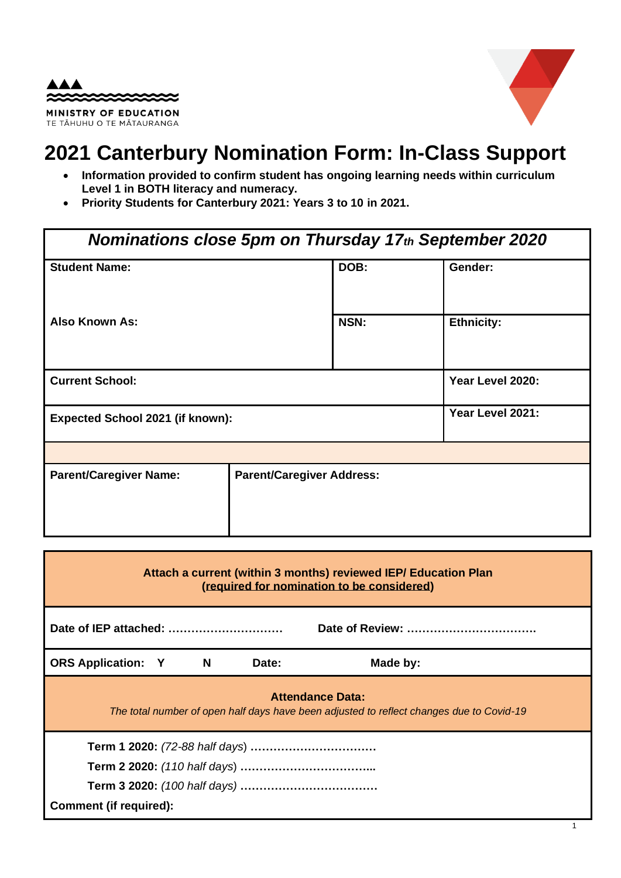



### **2021 Canterbury Nomination Form: In-Class Support**

- **Information provided to confirm student has ongoing learning needs within curriculum Level 1 in BOTH literacy and numeracy.**
- **Priority Students for Canterbury 2021: Years 3 to 10 in 2021.**

| <b>Nominations close 5pm on Thursday 17th September 2020</b> |  |                   |  |  |
|--------------------------------------------------------------|--|-------------------|--|--|
| <b>Student Name:</b>                                         |  | Gender:           |  |  |
|                                                              |  | <b>Ethnicity:</b> |  |  |
|                                                              |  |                   |  |  |
|                                                              |  | Year Level 2020:  |  |  |
| <b>Expected School 2021 (if known):</b>                      |  | Year Level 2021:  |  |  |
|                                                              |  |                   |  |  |
| <b>Parent/Caregiver Address:</b>                             |  |                   |  |  |
|                                                              |  |                   |  |  |
|                                                              |  | DOB:<br>NSN:      |  |  |

| Attach a current (within 3 months) reviewed IEP/ Education Plan<br>(required for nomination to be considered) |  |          |       |                                                                                                                     |
|---------------------------------------------------------------------------------------------------------------|--|----------|-------|---------------------------------------------------------------------------------------------------------------------|
|                                                                                                               |  |          |       |                                                                                                                     |
| <b>ORS Application: Y</b>                                                                                     |  | <b>N</b> | Date: | Made by:                                                                                                            |
|                                                                                                               |  |          |       | <b>Attendance Data:</b><br>The total number of open half days have been adjusted to reflect changes due to Covid-19 |
|                                                                                                               |  |          |       |                                                                                                                     |
|                                                                                                               |  |          |       |                                                                                                                     |
|                                                                                                               |  |          |       |                                                                                                                     |
| <b>Comment (if required):</b>                                                                                 |  |          |       |                                                                                                                     |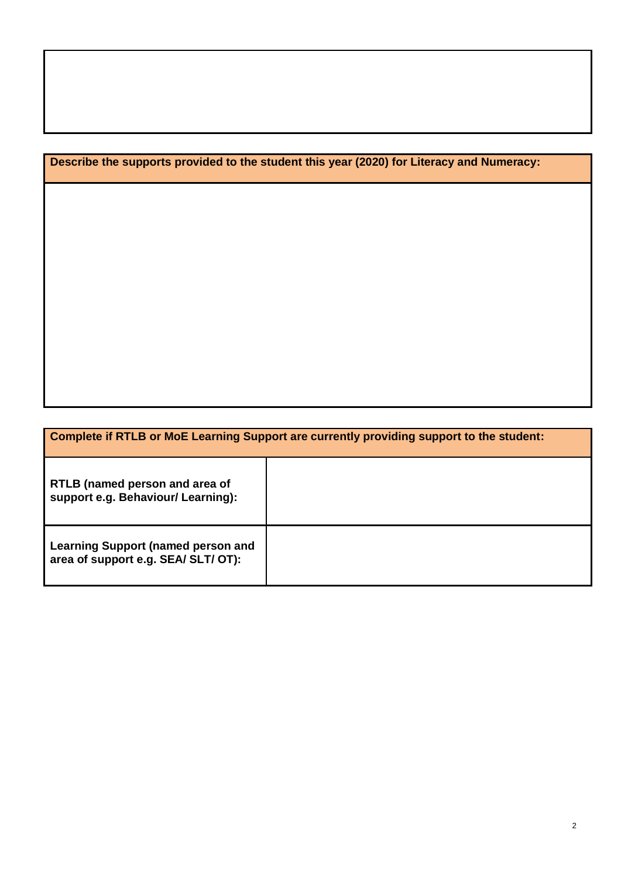**Describe the supports provided to the student this year (2020) for Literacy and Numeracy:**

|                                                                                  | Complete if RTLB or MoE Learning Support are currently providing support to the student: |
|----------------------------------------------------------------------------------|------------------------------------------------------------------------------------------|
| RTLB (named person and area of<br>support e.g. Behaviour/ Learning):             |                                                                                          |
| <b>Learning Support (named person and</b><br>area of support e.g. SEA/ SLT/ OT): |                                                                                          |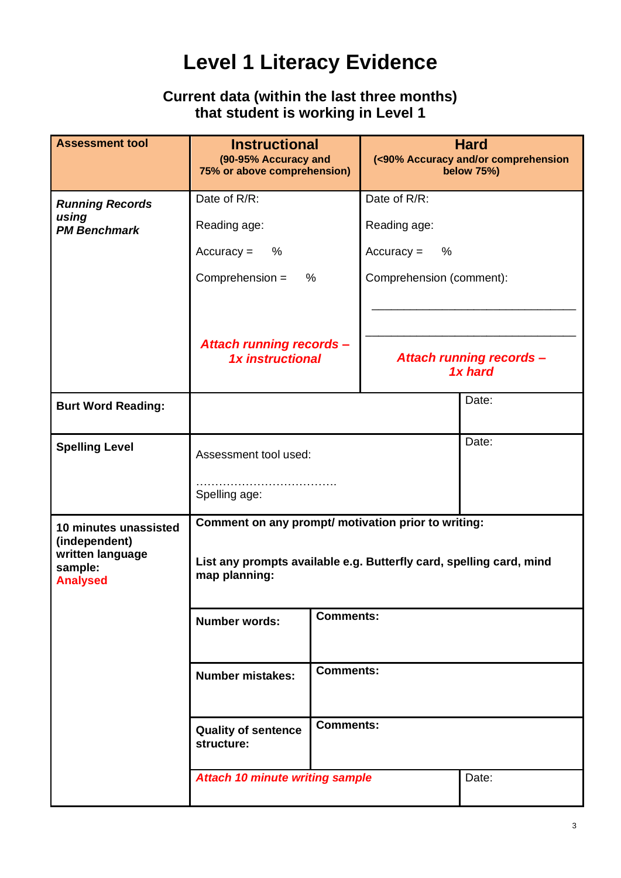## **Level 1 Literacy Evidence**

### **Current data (within the last three months) that student is working in Level 1**

| <b>Assessment tool</b>                         | <b>Instructional</b><br>(90-95% Accuracy and<br>75% or above comprehension)          |  |                          | <b>Hard</b><br>(<90% Accuracy and/or comprehension<br><b>below 75%)</b> |
|------------------------------------------------|--------------------------------------------------------------------------------------|--|--------------------------|-------------------------------------------------------------------------|
| <b>Running Records</b>                         | Date of R/R:                                                                         |  | Date of R/R:             |                                                                         |
| using<br><b>PM Benchmark</b>                   | Reading age:                                                                         |  | Reading age:             |                                                                         |
|                                                | $Accuracy =$<br>%                                                                    |  | $\%$<br>$Accuracy =$     |                                                                         |
|                                                | Comprehension =<br>$\%$                                                              |  | Comprehension (comment): |                                                                         |
|                                                |                                                                                      |  |                          |                                                                         |
|                                                |                                                                                      |  |                          |                                                                         |
|                                                | <b>Attach running records -</b><br>1x instructional                                  |  |                          | <b>Attach running records -</b><br>1x hard                              |
| <b>Burt Word Reading:</b>                      |                                                                                      |  | Date:                    |                                                                         |
| <b>Spelling Level</b>                          | Assessment tool used:                                                                |  |                          | Date:                                                                   |
|                                                | Spelling age:                                                                        |  |                          |                                                                         |
| 10 minutes unassisted<br>(independent)         | Comment on any prompt/ motivation prior to writing:                                  |  |                          |                                                                         |
| written language<br>sample:<br><b>Analysed</b> | List any prompts available e.g. Butterfly card, spelling card, mind<br>map planning: |  |                          |                                                                         |
|                                                | <b>Comments:</b><br><b>Number words:</b>                                             |  |                          |                                                                         |
|                                                | <b>Comments:</b><br><b>Number mistakes:</b>                                          |  |                          |                                                                         |
|                                                | <b>Comments:</b><br><b>Quality of sentence</b><br>structure:                         |  |                          |                                                                         |
|                                                | <b>Attach 10 minute writing sample</b><br>Date:                                      |  |                          |                                                                         |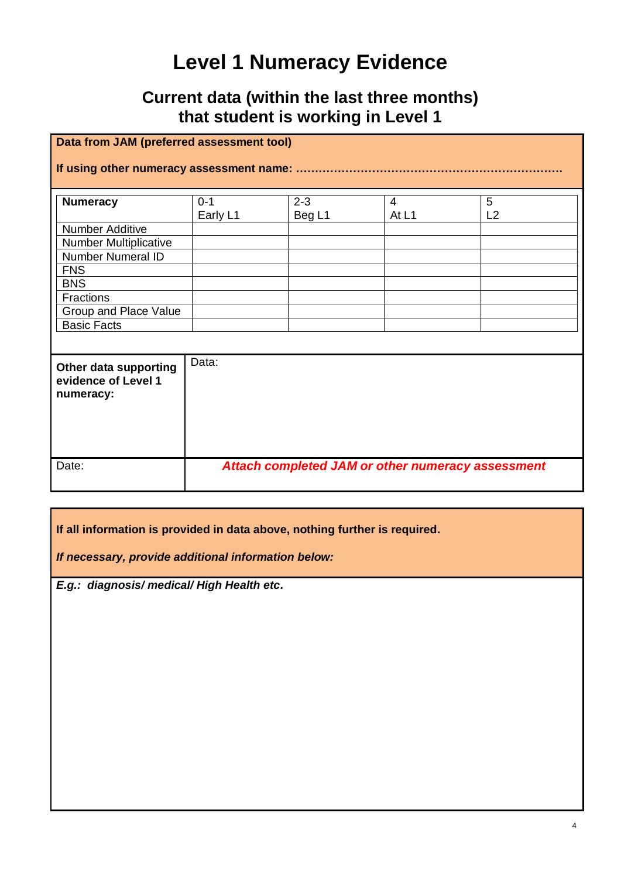# **Level 1 Numeracy Evidence**

### **Current data (within the last three months) that student is working in Level 1**

|                                                                                                                                                                                 | Data from JAM (preferred assessment tool) |                   |            |                                                          |
|---------------------------------------------------------------------------------------------------------------------------------------------------------------------------------|-------------------------------------------|-------------------|------------|----------------------------------------------------------|
|                                                                                                                                                                                 |                                           |                   |            |                                                          |
| <b>Numeracy</b><br>Number Additive<br>Number Multiplicative<br><b>Number Numeral ID</b><br><b>FNS</b><br><b>BNS</b><br>Fractions<br>Group and Place Value<br><b>Basic Facts</b> | $0 - 1$<br>Early L1                       | $2 - 3$<br>Beg L1 | 4<br>At L1 | 5<br>L2                                                  |
| Other data supporting<br>evidence of Level 1<br>numeracy:                                                                                                                       | Data:                                     |                   |            |                                                          |
| Date:                                                                                                                                                                           |                                           |                   |            | <b>Attach completed JAM or other numeracy assessment</b> |

**If all information is provided in data above, nothing further is required.**

*If necessary, provide additional information below:*

*E.g.: diagnosis/ medical/ High Health etc.*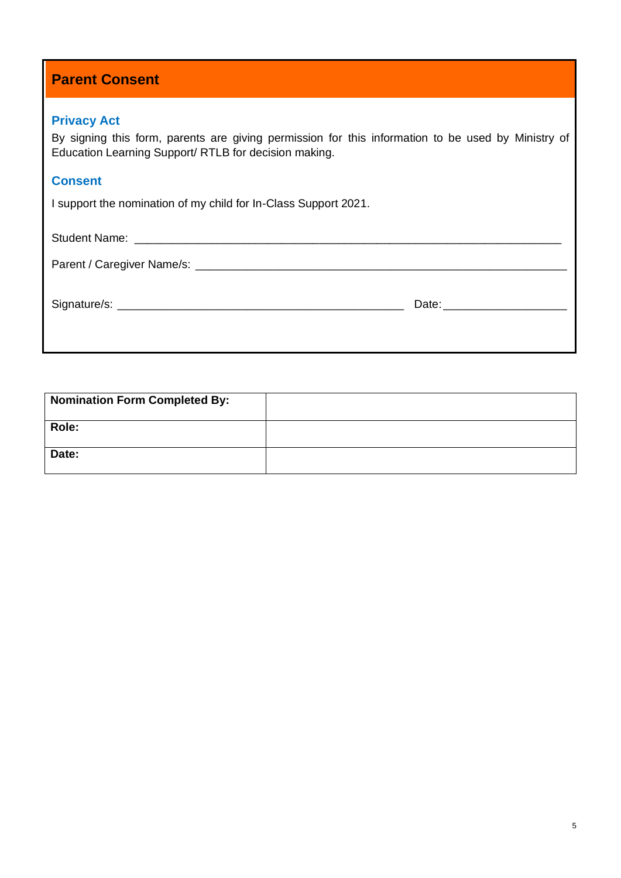| <b>Parent Consent</b> |
|-----------------------|
|-----------------------|

#### **Privacy Act**

By signing this form, parents are giving permission for this information to be used by Ministry of Education Learning Support/ RTLB for decision making.

#### **Consent**

I support the nomination of my child for In-Class Support 2021.

Student Name: \_\_\_\_\_\_\_\_\_\_\_\_\_\_\_\_\_\_\_\_\_\_\_\_\_\_\_\_\_\_\_\_\_\_\_\_\_\_\_\_\_\_\_\_\_\_\_\_\_\_\_\_\_\_\_\_\_\_\_\_\_\_\_\_\_\_\_

Parent / Caregiver Name/s: \_\_\_\_\_\_\_\_\_\_\_\_\_\_\_\_\_\_\_\_\_\_\_\_\_\_\_\_\_\_\_\_\_\_\_\_\_\_\_\_\_\_\_\_\_\_\_\_\_\_\_\_\_\_\_\_\_

Signature/s: \_\_\_\_\_\_\_\_\_\_\_\_\_\_\_\_\_\_\_\_\_\_\_\_\_\_\_\_\_\_\_\_\_\_\_\_\_\_\_\_\_\_\_\_ Date:\_\_\_\_\_\_\_\_\_\_\_\_\_\_\_\_\_\_\_

| <b>Nomination Form Completed By:</b> |  |
|--------------------------------------|--|
| Role:                                |  |
| Date:                                |  |